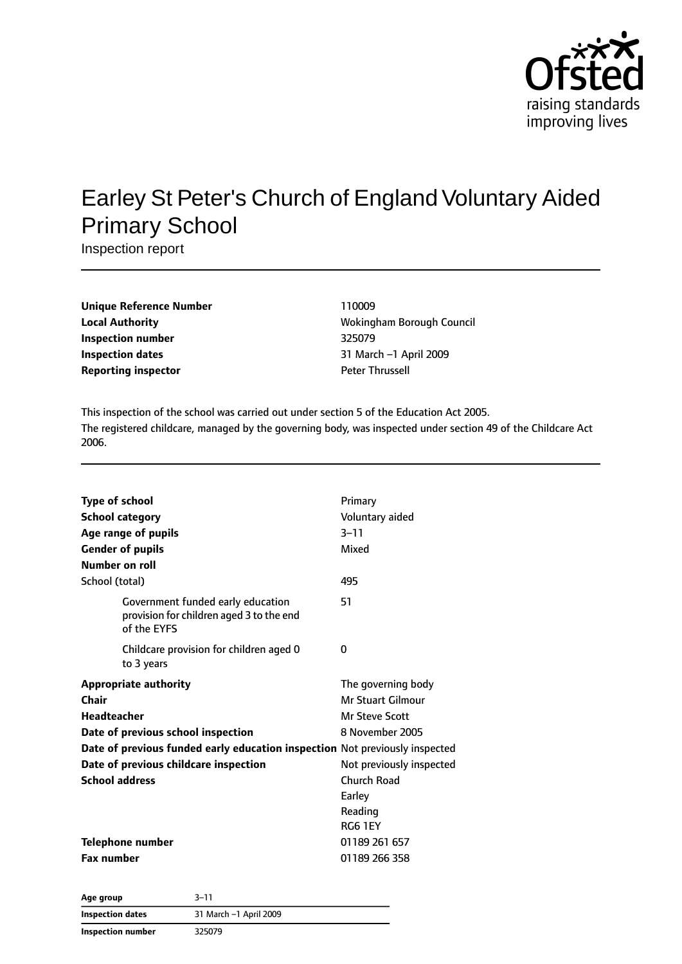

# Earley St Peter's Church of England Voluntary Aided Primary School

Inspection report

| <b>Unique Reference Number</b> |
|--------------------------------|
| <b>Local Authority</b>         |
| <b>Inspection number</b>       |
| <b>Inspection dates</b>        |
| <b>Reporting inspector</b>     |

**Unique Reference Number** 110009 **Local Authority** Wokingham Borough Council **Inspection number** 325079 **Inspection dates** 31 March –1 April 2009 **Peter Thrussell** 

This inspection of the school was carried out under section 5 of the Education Act 2005. The registered childcare, managed by the governing body, was inspected under section 49 of the Childcare Act 2006.

| <b>Type of school</b>                                                                        | Primary                  |
|----------------------------------------------------------------------------------------------|--------------------------|
| <b>School category</b>                                                                       | Voluntary aided          |
| Age range of pupils                                                                          | $3 - 11$                 |
| <b>Gender of pupils</b>                                                                      | Mixed                    |
| Number on roll                                                                               |                          |
| School (total)                                                                               | 495                      |
| Government funded early education<br>provision for children aged 3 to the end<br>of the EYFS | 51                       |
| Childcare provision for children aged 0<br>to 3 years                                        | 0                        |
| <b>Appropriate authority</b>                                                                 | The governing body       |
| Chair                                                                                        | Mr Stuart Gilmour        |
| <b>Headteacher</b>                                                                           | <b>Mr Steve Scott</b>    |
| Date of previous school inspection                                                           | 8 November 2005          |
| Date of previous funded early education inspection Not previously inspected                  |                          |
| Date of previous childcare inspection                                                        | Not previously inspected |
| <b>School address</b>                                                                        | Church Road              |
|                                                                                              | Earley                   |
|                                                                                              | Reading                  |
|                                                                                              | <b>RG6 1EY</b>           |
| <b>Telephone number</b>                                                                      | 01189 261 657            |
| <b>Fax number</b>                                                                            | 01189 266 358            |
| - - -                                                                                        |                          |

| Age group         | 3–11                   |  |
|-------------------|------------------------|--|
| Inspection dates  | 31 March -1 April 2009 |  |
| Inspection number | 325079                 |  |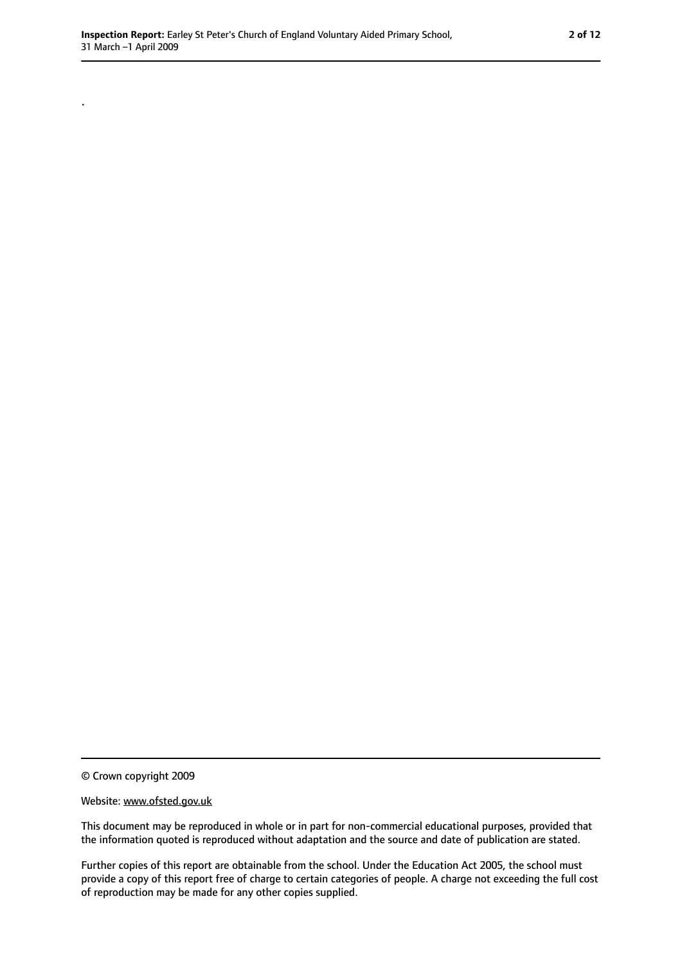© Crown copyright 2009

.

#### Website: www.ofsted.gov.uk

This document may be reproduced in whole or in part for non-commercial educational purposes, provided that the information quoted is reproduced without adaptation and the source and date of publication are stated.

Further copies of this report are obtainable from the school. Under the Education Act 2005, the school must provide a copy of this report free of charge to certain categories of people. A charge not exceeding the full cost of reproduction may be made for any other copies supplied.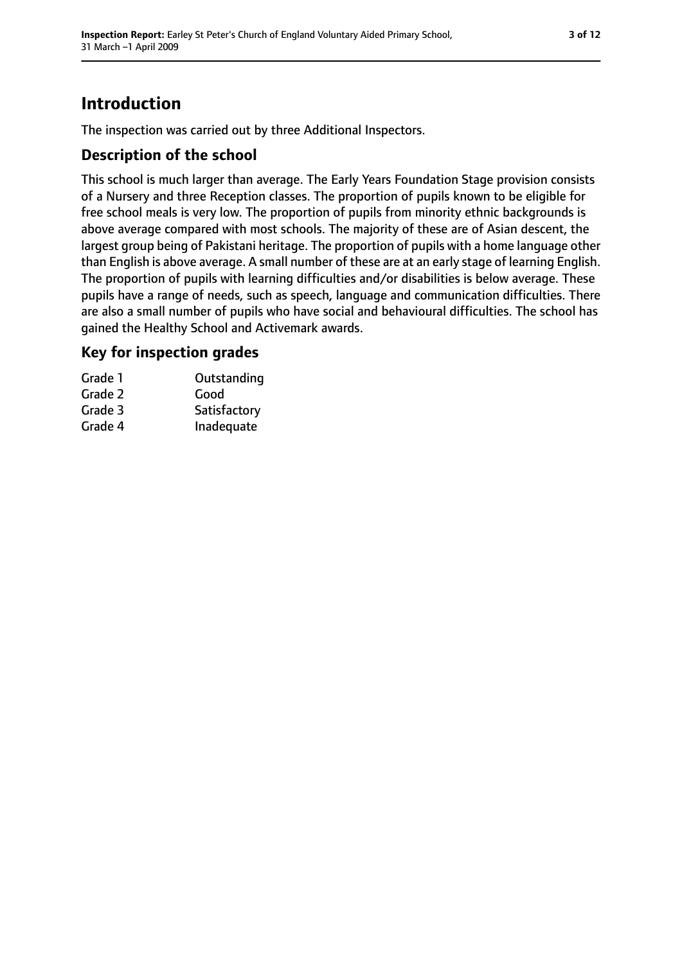# **Introduction**

The inspection was carried out by three Additional Inspectors.

### **Description of the school**

This school is much larger than average. The Early Years Foundation Stage provision consists of a Nursery and three Reception classes. The proportion of pupils known to be eligible for free school meals is very low. The proportion of pupils from minority ethnic backgrounds is above average compared with most schools. The majority of these are of Asian descent, the largest group being of Pakistani heritage. The proportion of pupils with a home language other than English is above average. A small number of these are at an early stage of learning English. The proportion of pupils with learning difficulties and/or disabilities is below average. These pupils have a range of needs, such as speech, language and communication difficulties. There are also a small number of pupils who have social and behavioural difficulties. The school has gained the Healthy School and Activemark awards.

### **Key for inspection grades**

| Grade 1 | Outstanding  |
|---------|--------------|
| Grade 2 | Good         |
| Grade 3 | Satisfactory |
| Grade 4 | Inadequate   |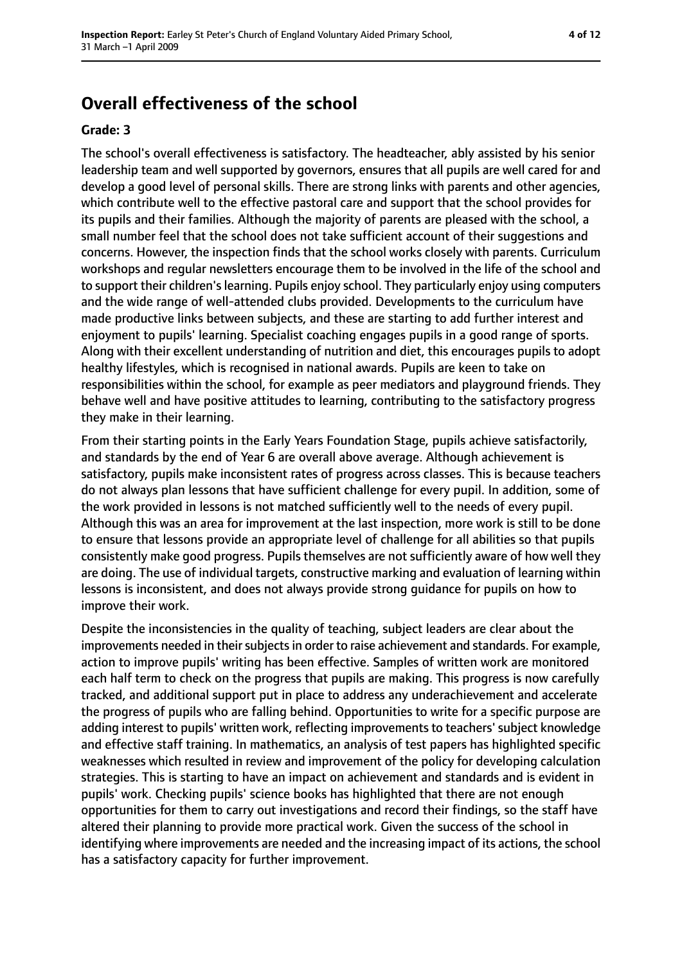# **Overall effectiveness of the school**

#### **Grade: 3**

The school's overall effectiveness is satisfactory. The headteacher, ably assisted by his senior leadership team and well supported by governors, ensures that all pupils are well cared for and develop a good level of personal skills. There are strong links with parents and other agencies, which contribute well to the effective pastoral care and support that the school provides for its pupils and their families. Although the majority of parents are pleased with the school, a small number feel that the school does not take sufficient account of their suggestions and concerns. However, the inspection finds that the school works closely with parents. Curriculum workshops and regular newsletters encourage them to be involved in the life of the school and to support their children's learning. Pupils enjoy school. They particularly enjoy using computers and the wide range of well-attended clubs provided. Developments to the curriculum have made productive links between subjects, and these are starting to add further interest and enjoyment to pupils' learning. Specialist coaching engages pupils in a good range of sports. Along with their excellent understanding of nutrition and diet, this encourages pupils to adopt healthy lifestyles, which is recognised in national awards. Pupils are keen to take on responsibilities within the school, for example as peer mediators and playground friends. They behave well and have positive attitudes to learning, contributing to the satisfactory progress they make in their learning.

From their starting points in the Early Years Foundation Stage, pupils achieve satisfactorily, and standards by the end of Year 6 are overall above average. Although achievement is satisfactory, pupils make inconsistent rates of progress across classes. This is because teachers do not always plan lessons that have sufficient challenge for every pupil. In addition, some of the work provided in lessons is not matched sufficiently well to the needs of every pupil. Although this was an area for improvement at the last inspection, more work is still to be done to ensure that lessons provide an appropriate level of challenge for all abilities so that pupils consistently make good progress. Pupils themselves are not sufficiently aware of how well they are doing. The use of individual targets, constructive marking and evaluation of learning within lessons is inconsistent, and does not always provide strong guidance for pupils on how to improve their work.

Despite the inconsistencies in the quality of teaching, subject leaders are clear about the improvements needed in their subjects in order to raise achievement and standards. For example, action to improve pupils' writing has been effective. Samples of written work are monitored each half term to check on the progress that pupils are making. This progress is now carefully tracked, and additional support put in place to address any underachievement and accelerate the progress of pupils who are falling behind. Opportunities to write for a specific purpose are adding interest to pupils' written work, reflecting improvements to teachers' subject knowledge and effective staff training. In mathematics, an analysis of test papers has highlighted specific weaknesses which resulted in review and improvement of the policy for developing calculation strategies. This is starting to have an impact on achievement and standards and is evident in pupils' work. Checking pupils' science books has highlighted that there are not enough opportunities for them to carry out investigations and record their findings, so the staff have altered their planning to provide more practical work. Given the success of the school in identifying where improvements are needed and the increasing impact of its actions, the school has a satisfactory capacity for further improvement.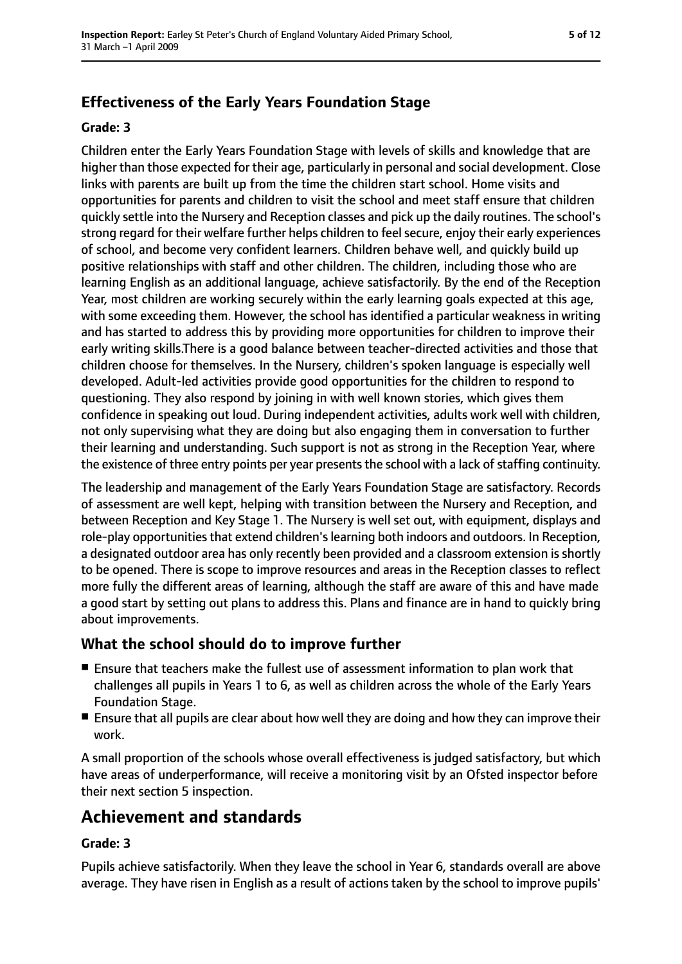### **Effectiveness of the Early Years Foundation Stage**

#### **Grade: 3**

Children enter the Early Years Foundation Stage with levels of skills and knowledge that are higher than those expected for their age, particularly in personal and social development. Close links with parents are built up from the time the children start school. Home visits and opportunities for parents and children to visit the school and meet staff ensure that children quickly settle into the Nursery and Reception classes and pick up the daily routines. The school's strong regard for their welfare further helps children to feel secure, enjoy their early experiences of school, and become very confident learners. Children behave well, and quickly build up positive relationships with staff and other children. The children, including those who are learning English as an additional language, achieve satisfactorily. By the end of the Reception Year, most children are working securely within the early learning goals expected at this age, with some exceeding them. However, the school has identified a particular weakness in writing and has started to address this by providing more opportunities for children to improve their early writing skills.There is a good balance between teacher-directed activities and those that children choose for themselves. In the Nursery, children's spoken language is especially well developed. Adult-led activities provide good opportunities for the children to respond to questioning. They also respond by joining in with well known stories, which gives them confidence in speaking out loud. During independent activities, adults work well with children, not only supervising what they are doing but also engaging them in conversation to further their learning and understanding. Such support is not as strong in the Reception Year, where the existence of three entry points per year presents the school with a lack of staffing continuity.

The leadership and management of the Early Years Foundation Stage are satisfactory. Records of assessment are well kept, helping with transition between the Nursery and Reception, and between Reception and Key Stage 1. The Nursery is well set out, with equipment, displays and role-play opportunities that extend children's learning both indoors and outdoors. In Reception, a designated outdoor area has only recently been provided and a classroom extension is shortly to be opened. There is scope to improve resources and areas in the Reception classes to reflect more fully the different areas of learning, although the staff are aware of this and have made a good start by setting out plans to address this. Plans and finance are in hand to quickly bring about improvements.

#### **What the school should do to improve further**

- Ensure that teachers make the fullest use of assessment information to plan work that challenges all pupils in Years 1 to 6, as well as children across the whole of the Early Years Foundation Stage.
- Ensure that all pupils are clear about how well they are doing and how they can improve their work.

A small proportion of the schools whose overall effectiveness is judged satisfactory, but which have areas of underperformance, will receive a monitoring visit by an Ofsted inspector before their next section 5 inspection.

# **Achievement and standards**

#### **Grade: 3**

Pupils achieve satisfactorily. When they leave the school in Year 6, standards overall are above average. They have risen in English as a result of actions taken by the school to improve pupils'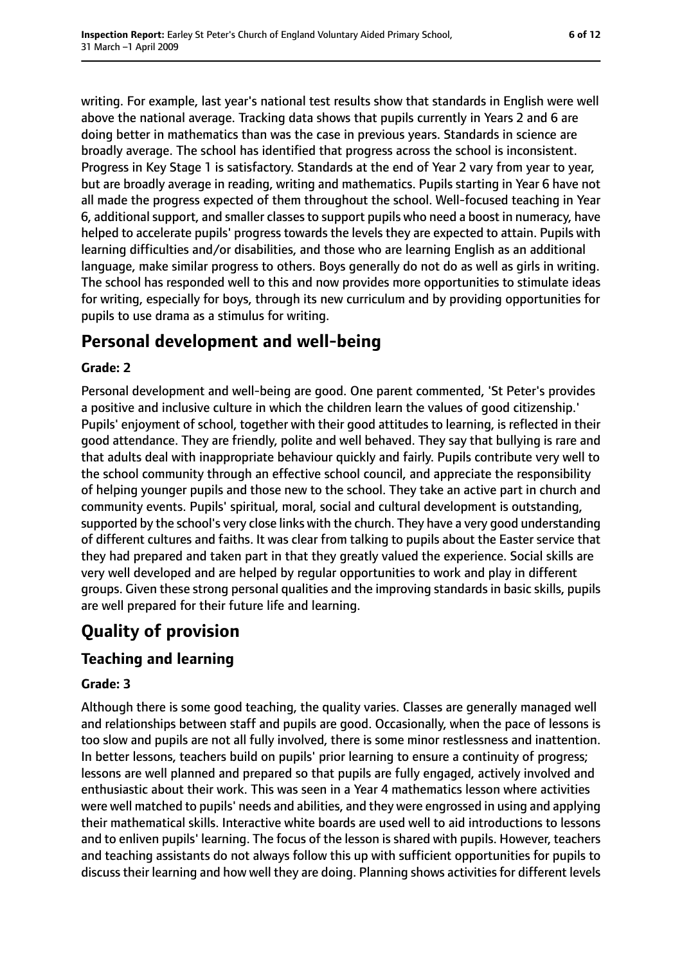writing. For example, last year's national test results show that standards in English were well above the national average. Tracking data shows that pupils currently in Years 2 and 6 are doing better in mathematics than was the case in previous years. Standards in science are broadly average. The school has identified that progress across the school is inconsistent. Progress in Key Stage 1 is satisfactory. Standards at the end of Year 2 vary from year to year, but are broadly average in reading, writing and mathematics. Pupils starting in Year 6 have not all made the progress expected of them throughout the school. Well-focused teaching in Year 6, additional support, and smaller classes to support pupils who need a boost in numeracy, have helped to accelerate pupils' progress towards the levels they are expected to attain. Pupils with learning difficulties and/or disabilities, and those who are learning English as an additional language, make similar progress to others. Boys generally do not do as well as girls in writing. The school has responded well to this and now provides more opportunities to stimulate ideas for writing, especially for boys, through its new curriculum and by providing opportunities for pupils to use drama as a stimulus for writing.

### **Personal development and well-being**

#### **Grade: 2**

Personal development and well-being are good. One parent commented, 'St Peter's provides a positive and inclusive culture in which the children learn the values of good citizenship.' Pupils' enjoyment of school, together with their good attitudes to learning, is reflected in their good attendance. They are friendly, polite and well behaved. They say that bullying is rare and that adults deal with inappropriate behaviour quickly and fairly. Pupils contribute very well to the school community through an effective school council, and appreciate the responsibility of helping younger pupils and those new to the school. They take an active part in church and community events. Pupils' spiritual, moral, social and cultural development is outstanding, supported by the school's very close links with the church. They have a very good understanding of different cultures and faiths. It was clear from talking to pupils about the Easter service that they had prepared and taken part in that they greatly valued the experience. Social skills are very well developed and are helped by regular opportunities to work and play in different groups. Given these strong personal qualities and the improving standards in basic skills, pupils are well prepared for their future life and learning.

# **Quality of provision**

### **Teaching and learning**

#### **Grade: 3**

Although there is some good teaching, the quality varies. Classes are generally managed well and relationships between staff and pupils are good. Occasionally, when the pace of lessons is too slow and pupils are not all fully involved, there is some minor restlessness and inattention. In better lessons, teachers build on pupils' prior learning to ensure a continuity of progress; lessons are well planned and prepared so that pupils are fully engaged, actively involved and enthusiastic about their work. This was seen in a Year 4 mathematics lesson where activities were well matched to pupils' needs and abilities, and they were engrossed in using and applying their mathematical skills. Interactive white boards are used well to aid introductions to lessons and to enliven pupils' learning. The focus of the lesson is shared with pupils. However, teachers and teaching assistants do not always follow this up with sufficient opportunities for pupils to discuss their learning and how well they are doing. Planning shows activities for different levels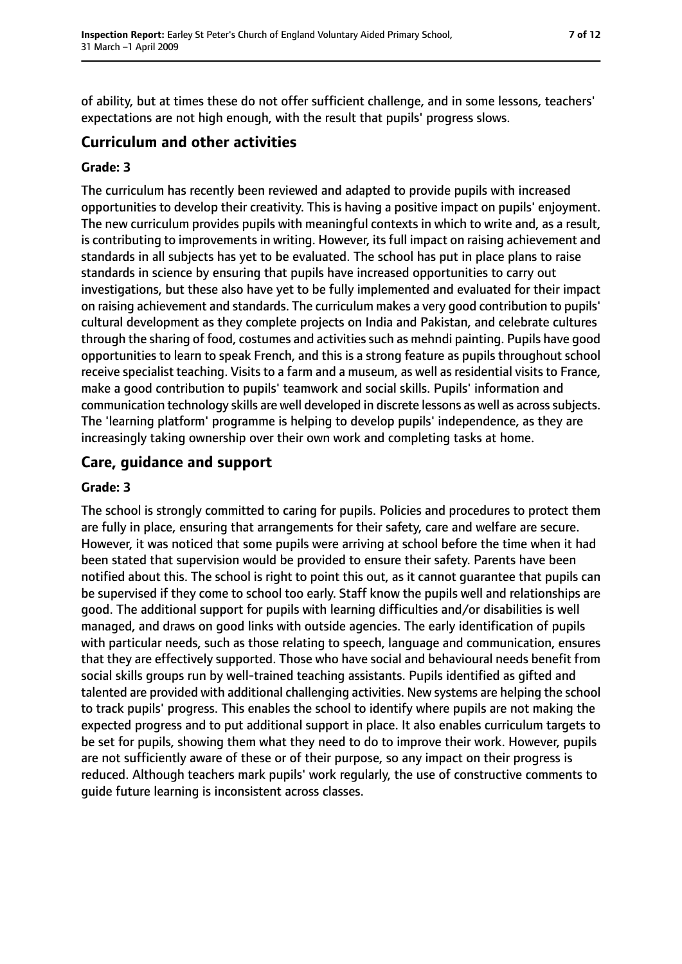of ability, but at times these do not offer sufficient challenge, and in some lessons, teachers' expectations are not high enough, with the result that pupils' progress slows.

### **Curriculum and other activities**

#### **Grade: 3**

The curriculum has recently been reviewed and adapted to provide pupils with increased opportunities to develop their creativity. This is having a positive impact on pupils' enjoyment. The new curriculum provides pupils with meaningful contexts in which to write and, as a result, is contributing to improvements in writing. However, its full impact on raising achievement and standards in all subjects has yet to be evaluated. The school has put in place plans to raise standards in science by ensuring that pupils have increased opportunities to carry out investigations, but these also have yet to be fully implemented and evaluated for their impact on raising achievement and standards. The curriculum makes a very good contribution to pupils' cultural development as they complete projects on India and Pakistan, and celebrate cultures through the sharing of food, costumes and activities such as mehndi painting. Pupils have good opportunities to learn to speak French, and this is a strong feature as pupils throughout school receive specialist teaching. Visits to a farm and a museum, as well as residential visits to France, make a good contribution to pupils' teamwork and social skills. Pupils' information and communication technology skills are well developed in discrete lessons as well as acrosssubjects. The 'learning platform' programme is helping to develop pupils' independence, as they are increasingly taking ownership over their own work and completing tasks at home.

### **Care, guidance and support**

#### **Grade: 3**

The school is strongly committed to caring for pupils. Policies and procedures to protect them are fully in place, ensuring that arrangements for their safety, care and welfare are secure. However, it was noticed that some pupils were arriving at school before the time when it had been stated that supervision would be provided to ensure their safety. Parents have been notified about this. The school is right to point this out, as it cannot guarantee that pupils can be supervised if they come to school too early. Staff know the pupils well and relationships are good. The additional support for pupils with learning difficulties and/or disabilities is well managed, and draws on good links with outside agencies. The early identification of pupils with particular needs, such as those relating to speech, language and communication, ensures that they are effectively supported. Those who have social and behavioural needs benefit from social skills groups run by well-trained teaching assistants. Pupils identified as gifted and talented are provided with additional challenging activities. New systems are helping the school to track pupils' progress. This enables the school to identify where pupils are not making the expected progress and to put additional support in place. It also enables curriculum targets to be set for pupils, showing them what they need to do to improve their work. However, pupils are not sufficiently aware of these or of their purpose, so any impact on their progress is reduced. Although teachers mark pupils' work regularly, the use of constructive comments to guide future learning is inconsistent across classes.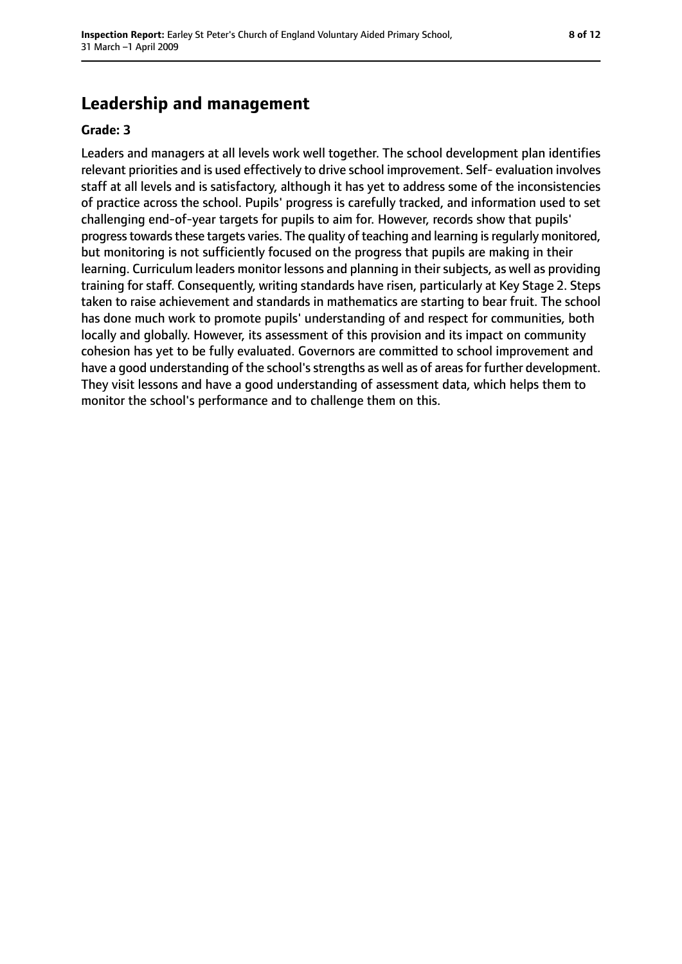# **Leadership and management**

#### **Grade: 3**

Leaders and managers at all levels work well together. The school development plan identifies relevant priorities and is used effectively to drive school improvement. Self- evaluation involves staff at all levels and is satisfactory, although it has yet to address some of the inconsistencies of practice across the school. Pupils' progress is carefully tracked, and information used to set challenging end-of-year targets for pupils to aim for. However, records show that pupils' progress towards these targets varies. The quality of teaching and learning is regularly monitored, but monitoring is not sufficiently focused on the progress that pupils are making in their learning. Curriculum leaders monitor lessons and planning in their subjects, as well as providing training for staff. Consequently, writing standards have risen, particularly at Key Stage 2. Steps taken to raise achievement and standards in mathematics are starting to bear fruit. The school has done much work to promote pupils' understanding of and respect for communities, both locally and globally. However, its assessment of this provision and its impact on community cohesion has yet to be fully evaluated. Governors are committed to school improvement and have a good understanding of the school's strengths as well as of areas for further development. They visit lessons and have a good understanding of assessment data, which helps them to monitor the school's performance and to challenge them on this.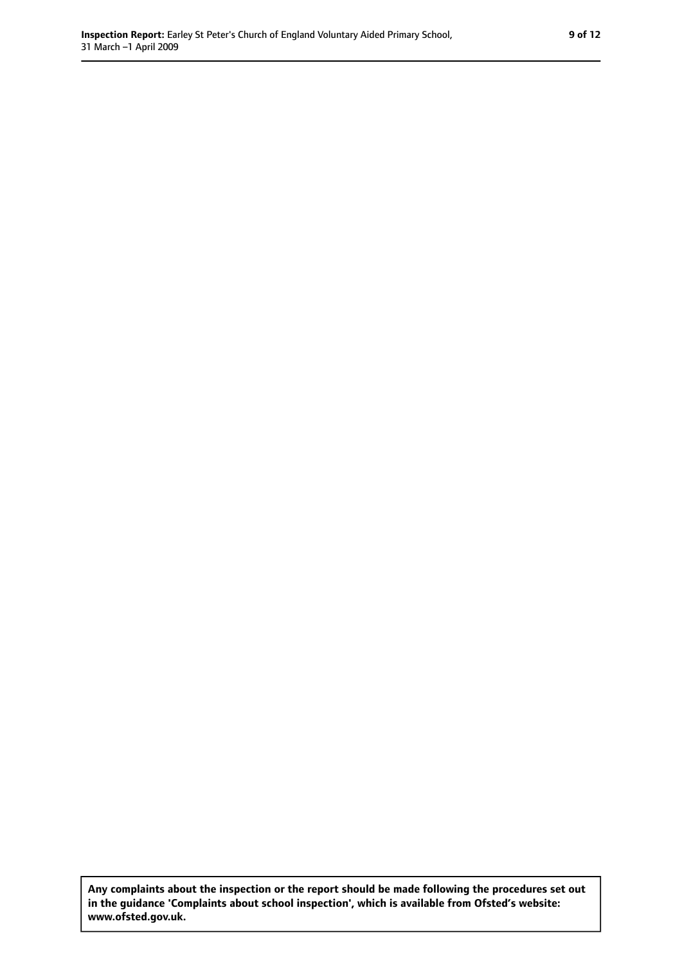**Any complaints about the inspection or the report should be made following the procedures set out in the guidance 'Complaints about school inspection', which is available from Ofsted's website: www.ofsted.gov.uk.**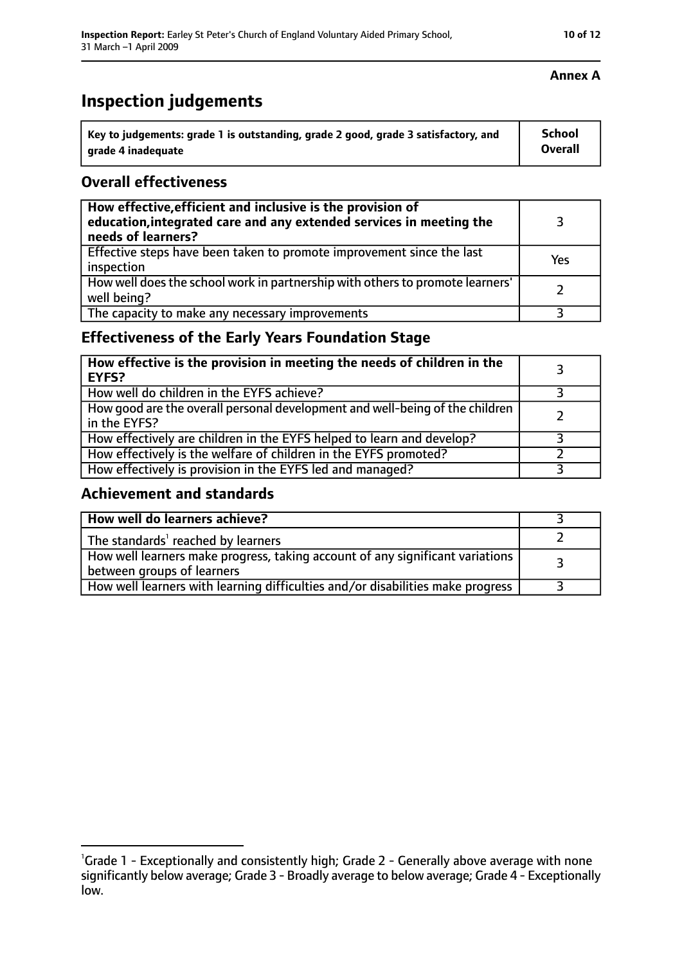# **Inspection judgements**

| Key to judgements: grade 1 is outstanding, grade 2 good, grade 3 satisfactory, and | <b>School</b>  |
|------------------------------------------------------------------------------------|----------------|
| arade 4 inadequate                                                                 | <b>Overall</b> |

#### **Overall effectiveness**

| How effective, efficient and inclusive is the provision of<br>education, integrated care and any extended services in meeting the<br>needs of learners? |     |
|---------------------------------------------------------------------------------------------------------------------------------------------------------|-----|
| Effective steps have been taken to promote improvement since the last<br>inspection                                                                     | Yes |
| How well does the school work in partnership with others to promote learners'<br>well being?                                                            |     |
| The capacity to make any necessary improvements                                                                                                         |     |

### **Effectiveness of the Early Years Foundation Stage**

| How effective is the provision in meeting the needs of children in the<br>l EYFS?            |  |
|----------------------------------------------------------------------------------------------|--|
| How well do children in the EYFS achieve?                                                    |  |
| How good are the overall personal development and well-being of the children<br>in the EYFS? |  |
| How effectively are children in the EYFS helped to learn and develop?                        |  |
| How effectively is the welfare of children in the EYFS promoted?                             |  |
| How effectively is provision in the EYFS led and managed?                                    |  |

#### **Achievement and standards**

| How well do learners achieve?                                                                                 |  |
|---------------------------------------------------------------------------------------------------------------|--|
| The standards <sup>1</sup> reached by learners                                                                |  |
| How well learners make progress, taking account of any significant variations  <br>between groups of learners |  |
| How well learners with learning difficulties and/or disabilities make progress                                |  |

### **Annex A**

<sup>&</sup>lt;sup>1</sup>Grade 1 - Exceptionally and consistently high; Grade 2 - Generally above average with none significantly below average; Grade 3 - Broadly average to below average; Grade 4 - Exceptionally low.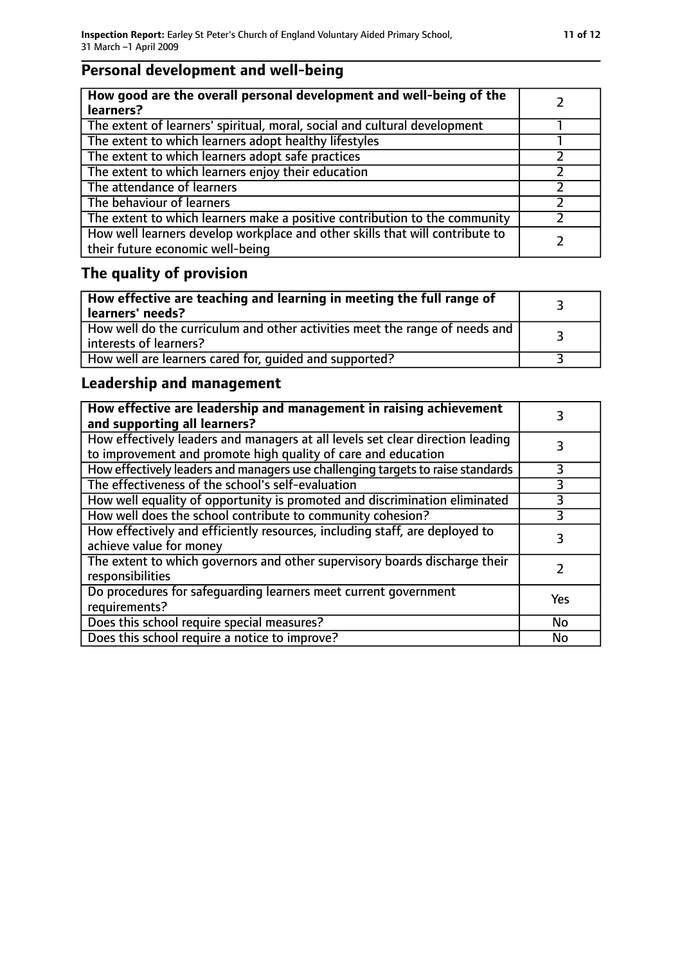# **Personal development and well-being**

| How good are the overall personal development and well-being of the<br>learners?                                 |  |
|------------------------------------------------------------------------------------------------------------------|--|
| The extent of learners' spiritual, moral, social and cultural development                                        |  |
| The extent to which learners adopt healthy lifestyles                                                            |  |
| The extent to which learners adopt safe practices                                                                |  |
| The extent to which learners enjoy their education                                                               |  |
| The attendance of learners                                                                                       |  |
| The behaviour of learners                                                                                        |  |
| The extent to which learners make a positive contribution to the community                                       |  |
| How well learners develop workplace and other skills that will contribute to<br>their future economic well-being |  |

# **The quality of provision**

| How effective are teaching and learning in meeting the full range of<br>learners' needs?              |  |
|-------------------------------------------------------------------------------------------------------|--|
| How well do the curriculum and other activities meet the range of needs and<br>interests of learners? |  |
| How well are learners cared for, quided and supported?                                                |  |

### **Leadership and management**

| How effective are leadership and management in raising achievement<br>and supporting all learners?                                              |     |
|-------------------------------------------------------------------------------------------------------------------------------------------------|-----|
| How effectively leaders and managers at all levels set clear direction leading<br>to improvement and promote high quality of care and education |     |
| How effectively leaders and managers use challenging targets to raise standards                                                                 | 3   |
| The effectiveness of the school's self-evaluation                                                                                               | 3   |
| How well equality of opportunity is promoted and discrimination eliminated                                                                      | 3   |
| How well does the school contribute to community cohesion?                                                                                      | 3   |
| How effectively and efficiently resources, including staff, are deployed to<br>achieve value for money                                          |     |
| The extent to which governors and other supervisory boards discharge their<br>responsibilities                                                  |     |
| Do procedures for safequarding learners meet current government<br>requirements?                                                                | Yes |
| Does this school require special measures?                                                                                                      | No  |
| Does this school require a notice to improve?                                                                                                   | No  |